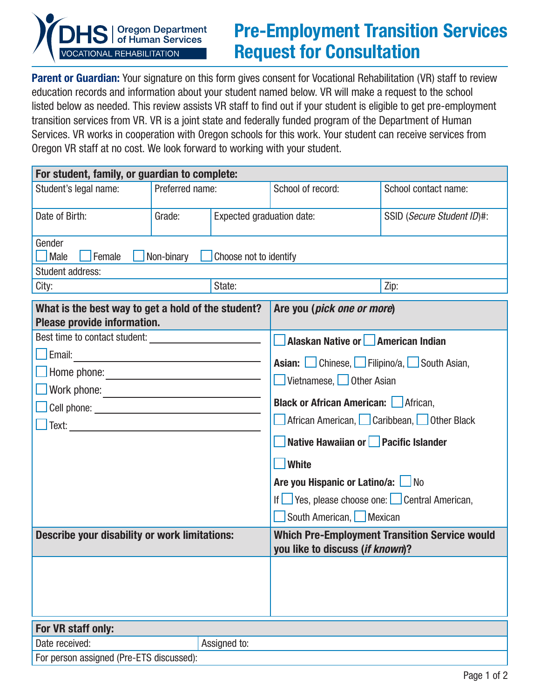

## Pre-Employment Transition Services Request for Consultation

Parent or Guardian: Your signature on this form gives consent for Vocational Rehabilitation (VR) staff to review education records and information about your student named below. VR will make a request to the school listed below as needed. This review assists VR staff to find out if your student is eligible to get pre-employment transition services from VR. VR is a joint state and federally funded program of the Department of Human Services. VR works in cooperation with Oregon schools for this work. Your student can receive services from Oregon VR staff at no cost. We look forward to working with your student.

| For student, family, or guardian to complete:                                                                                                                                                                                                                        |                                     |                                                                                                                                                                                                                             |                                                                                  |                            |  |  |
|----------------------------------------------------------------------------------------------------------------------------------------------------------------------------------------------------------------------------------------------------------------------|-------------------------------------|-----------------------------------------------------------------------------------------------------------------------------------------------------------------------------------------------------------------------------|----------------------------------------------------------------------------------|----------------------------|--|--|
| Student's legal name:                                                                                                                                                                                                                                                | Preferred name:                     |                                                                                                                                                                                                                             | School of record:                                                                | School contact name:       |  |  |
| Date of Birth:                                                                                                                                                                                                                                                       | Grade:<br>Expected graduation date: |                                                                                                                                                                                                                             |                                                                                  | SSID (Secure Student ID)#: |  |  |
| Gender<br><i>Male</i><br>Female<br>Non-binary<br>Choose not to identify                                                                                                                                                                                              |                                     |                                                                                                                                                                                                                             |                                                                                  |                            |  |  |
| <b>Student address:</b>                                                                                                                                                                                                                                              |                                     |                                                                                                                                                                                                                             |                                                                                  |                            |  |  |
| City:                                                                                                                                                                                                                                                                | State:                              |                                                                                                                                                                                                                             |                                                                                  | Zip:                       |  |  |
| What is the best way to get a hold of the student?<br>Please provide information.                                                                                                                                                                                    |                                     |                                                                                                                                                                                                                             | Are you (pick one or more)                                                       |                            |  |  |
|                                                                                                                                                                                                                                                                      |                                     |                                                                                                                                                                                                                             | Alaskan Native or <b>American Indian</b>                                         |                            |  |  |
| $\Box$ Email:<br>Home phone:<br>Cell phone: <u>example and the set of the set of the set of the set of the set of the set of the set of the set of the set of the set of the set of the set of the set of the set of the set of the set of the set of the set of</u> |                                     | <b>Asian:</b> Chinese, Filipino/a, South Asian,<br>Vietnamese, Other Asian<br><b>Black or African American:</b> African,<br>African American, Caribbean, Other Black<br>Native Hawaiian or Pacific Islander<br><b>White</b> |                                                                                  |                            |  |  |
|                                                                                                                                                                                                                                                                      |                                     |                                                                                                                                                                                                                             | Are you Hispanic or Latino/a: No<br>If Yes, please choose one: Central American, |                            |  |  |
|                                                                                                                                                                                                                                                                      |                                     |                                                                                                                                                                                                                             | South American, Mexican                                                          |                            |  |  |
| <b>Describe your disability or work limitations:</b>                                                                                                                                                                                                                 |                                     | <b>Which Pre-Employment Transition Service would</b><br>you like to discuss (if known)?                                                                                                                                     |                                                                                  |                            |  |  |
|                                                                                                                                                                                                                                                                      |                                     |                                                                                                                                                                                                                             |                                                                                  |                            |  |  |
| For VR staff only:                                                                                                                                                                                                                                                   |                                     |                                                                                                                                                                                                                             |                                                                                  |                            |  |  |
| Date received:                                                                                                                                                                                                                                                       |                                     | Assigned to:                                                                                                                                                                                                                |                                                                                  |                            |  |  |
| For person assigned (Pre-ETS discussed):                                                                                                                                                                                                                             |                                     |                                                                                                                                                                                                                             |                                                                                  |                            |  |  |